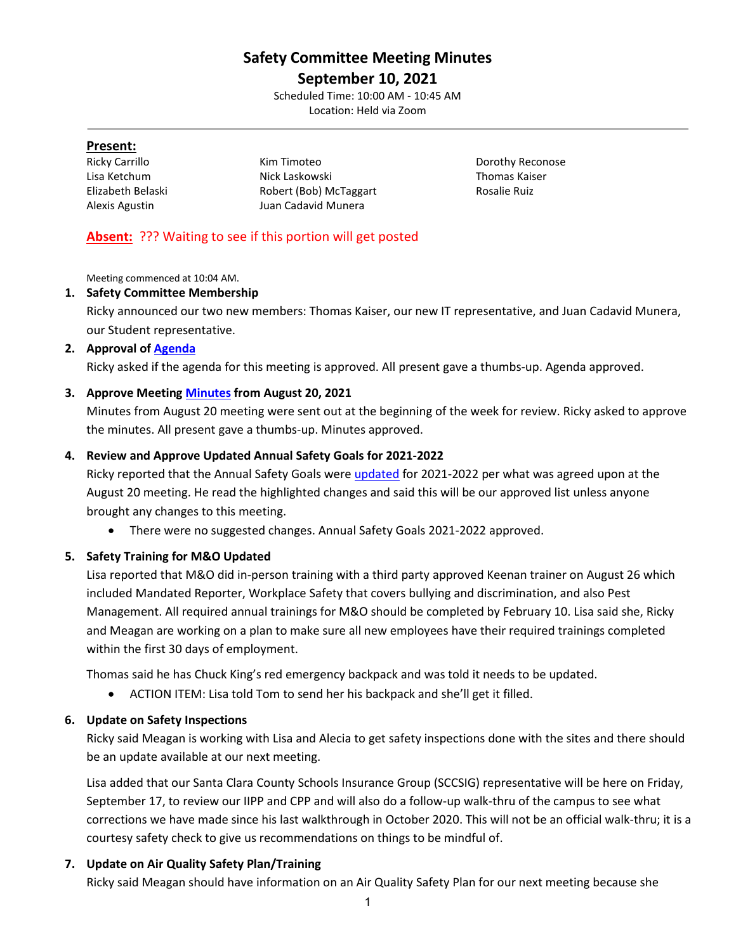# **Safety Committee Meeting Minutes**

**September 10, 2021** Scheduled Time: 10:00 AM - 10:45 AM

Location: Held via Zoom

#### **Present:**

Ricky Carrillo **Kim Timoteo Ricky Carrillo Carrillo Carrillo Kim Timoteo Dorothy Reconose** Lisa Ketchum Nick Laskowski Thomas Kaiser Elizabeth Belaski **Robert (Bob) McTaggart** Rosalie Ruiz Alexis Agustin Juan Cadavid Munera

# **Absent:** ??? Waiting to see if this portion will get posted

Meeting commenced at 10:04 AM.

# **1. Safety Committee Membership**

Ricky announced our two new members: Thomas Kaiser, our new IT representative, and Juan Cadavid Munera, our Student representative.

# **2. Approval of [Agenda](https://drive.google.com/file/d/1bZvPOYmqi6J9RkjuCcxvjwgMdx4fG1HC/view?usp=sharing)**

Ricky asked if the agenda for this meeting is approved. All present gave a thumbs-up. Agenda approved.

# **3. Approve Meeting [Minutes](https://drive.google.com/file/d/1W4duw2ByUmjHuhLP-ZcZ75jlO03m5NT0/view?usp=sharing) from August 20, 2021**

Minutes from August 20 meeting were sent out at the beginning of the week for review. Ricky asked to approve the minutes. All present gave a thumbs-up. Minutes approved.

# **4. Review and Approve Updated Annual Safety Goals for 2021-2022**

Ricky reported that the Annual Safety Goals were [updated](https://drive.google.com/file/d/1XcaK28CKZoY-EYsLDvVuvd8BfpHQSFj0/view?usp=sharing) for 2021-2022 per what was agreed upon at the August 20 meeting. He read the highlighted changes and said this will be our approved list unless anyone brought any changes to this meeting.

• There were no suggested changes. Annual Safety Goals 2021-2022 approved.

# **5. Safety Training for M&O Updated**

Lisa reported that M&O did in-person training with a third party approved Keenan trainer on August 26 which included Mandated Reporter, Workplace Safety that covers bullying and discrimination, and also Pest Management. All required annual trainings for M&O should be completed by February 10. Lisa said she, Ricky and Meagan are working on a plan to make sure all new employees have their required trainings completed within the first 30 days of employment.

Thomas said he has Chuck King's red emergency backpack and was told it needs to be updated.

• ACTION ITEM: Lisa told Tom to send her his backpack and she'll get it filled.

# **6. Update on Safety Inspections**

Ricky said Meagan is working with Lisa and Alecia to get safety inspections done with the sites and there should be an update available at our next meeting.

Lisa added that our Santa Clara County Schools Insurance Group (SCCSIG) representative will be here on Friday, September 17, to review our IIPP and CPP and will also do a follow-up walk-thru of the campus to see what corrections we have made since his last walkthrough in October 2020. This will not be an official walk-thru; it is a courtesy safety check to give us recommendations on things to be mindful of.

# **7. Update on Air Quality Safety Plan/Training**

Ricky said Meagan should have information on an Air Quality Safety Plan for our next meeting because she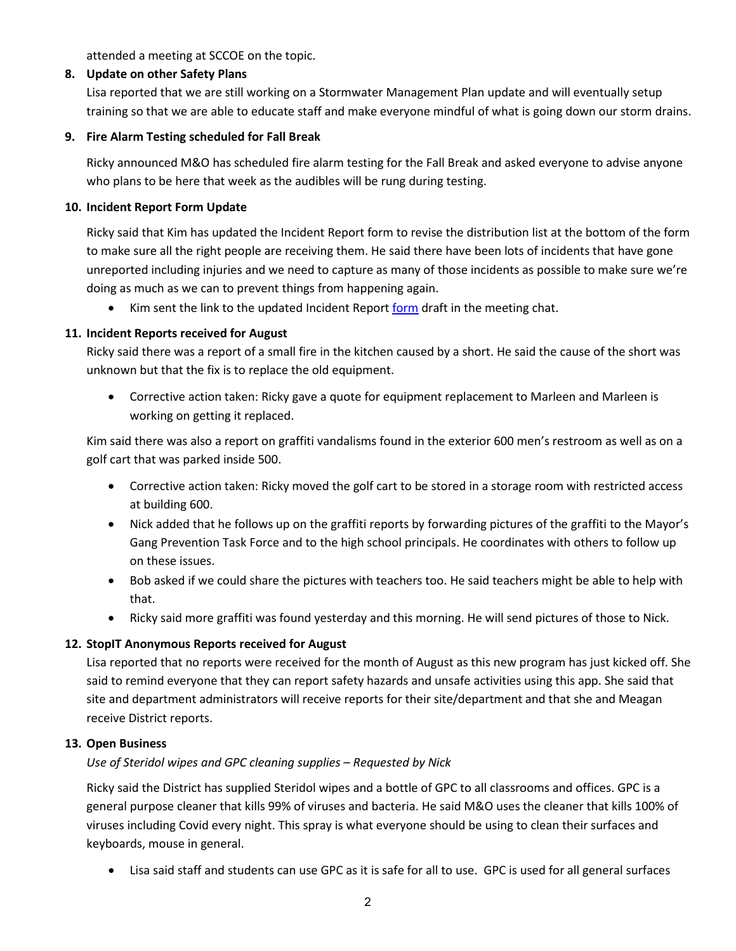attended a meeting at SCCOE on the topic.

#### **8. Update on other Safety Plans**

Lisa reported that we are still working on a Stormwater Management Plan update and will eventually setup training so that we are able to educate staff and make everyone mindful of what is going down our storm drains.

#### **9. Fire Alarm Testing scheduled for Fall Break**

Ricky announced M&O has scheduled fire alarm testing for the Fall Break and asked everyone to advise anyone who plans to be here that week as the audibles will be rung during testing.

#### **10. Incident Report Form Update**

Ricky said that Kim has updated the Incident Report form to revise the distribution list at the bottom of the form to make sure all the right people are receiving them. He said there have been lots of incidents that have gone unreported including injuries and we need to capture as many of those incidents as possible to make sure we're doing as much as we can to prevent things from happening again.

Kim sent the link to the updated Incident Report [form](https://drive.google.com/file/d/1oDVmnEODcTRUfYW96EpHiE4PsmrW6aal/view?usp=sharing) draft in the meeting chat.

#### **11. Incident Reports received for August**

Ricky said there was a report of a small fire in the kitchen caused by a short. He said the cause of the short was unknown but that the fix is to replace the old equipment.

• Corrective action taken: Ricky gave a quote for equipment replacement to Marleen and Marleen is working on getting it replaced.

Kim said there was also a report on graffiti vandalisms found in the exterior 600 men's restroom as well as on a golf cart that was parked inside 500.

- Corrective action taken: Ricky moved the golf cart to be stored in a storage room with restricted access at building 600.
- Nick added that he follows up on the graffiti reports by forwarding pictures of the graffiti to the Mayor's Gang Prevention Task Force and to the high school principals. He coordinates with others to follow up on these issues.
- Bob asked if we could share the pictures with teachers too. He said teachers might be able to help with that.
- Ricky said more graffiti was found yesterday and this morning. He will send pictures of those to Nick.

# **12. StopIT Anonymous Reports received for August**

Lisa reported that no reports were received for the month of August as this new program has just kicked off. She said to remind everyone that they can report safety hazards and unsafe activities using this app. She said that site and department administrators will receive reports for their site/department and that she and Meagan receive District reports.

#### **13. Open Business**

# *Use of Steridol wipes and GPC cleaning supplies – Requested by Nick*

Ricky said the District has supplied Steridol wipes and a bottle of GPC to all classrooms and offices. GPC is a general purpose cleaner that kills 99% of viruses and bacteria. He said M&O uses the cleaner that kills 100% of viruses including Covid every night. This spray is what everyone should be using to clean their surfaces and keyboards, mouse in general.

• Lisa said staff and students can use GPC as it is safe for all to use. GPC is used for all general surfaces